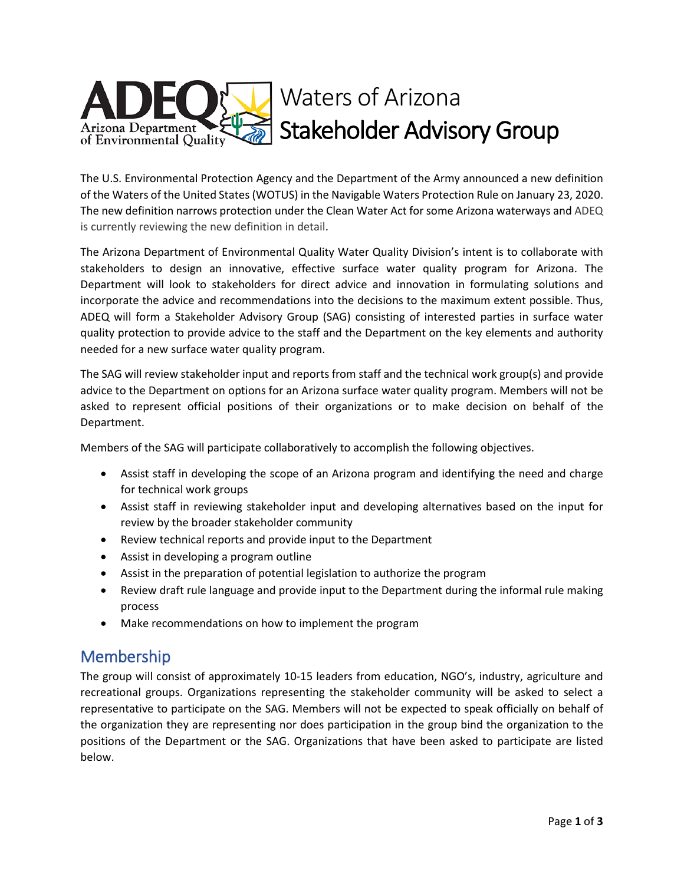

The U.S. Environmental Protection Agency and the Department of the Army announced a new definition of the Waters of the United States (WOTUS) in the Navigable Waters Protection Rule on January 23, 2020. The new definition narrows protection under the Clean Water Act for some Arizona waterways and ADEQ is currently reviewing the new definition in detail.

The Arizona Department of Environmental Quality Water Quality Division's intent is to collaborate with stakeholders to design an innovative, effective surface water quality program for Arizona. The Department will look to stakeholders for direct advice and innovation in formulating solutions and incorporate the advice and recommendations into the decisions to the maximum extent possible. Thus, ADEQ will form a Stakeholder Advisory Group (SAG) consisting of interested parties in surface water quality protection to provide advice to the staff and the Department on the key elements and authority needed for a new surface water quality program.

The SAG will review stakeholder input and reports from staff and the technical work group(s) and provide advice to the Department on options for an Arizona surface water quality program. Members will not be asked to represent official positions of their organizations or to make decision on behalf of the Department.

Members of the SAG will participate collaboratively to accomplish the following objectives.

- Assist staff in developing the scope of an Arizona program and identifying the need and charge for technical work groups
- Assist staff in reviewing stakeholder input and developing alternatives based on the input for review by the broader stakeholder community
- Review technical reports and provide input to the Department
- Assist in developing a program outline
- Assist in the preparation of potential legislation to authorize the program
- Review draft rule language and provide input to the Department during the informal rule making process
- Make recommendations on how to implement the program

## Membership

The group will consist of approximately 10-15 leaders from education, NGO's, industry, agriculture and recreational groups. Organizations representing the stakeholder community will be asked to select a representative to participate on the SAG. Members will not be expected to speak officially on behalf of the organization they are representing nor does participation in the group bind the organization to the positions of the Department or the SAG. Organizations that have been asked to participate are listed below.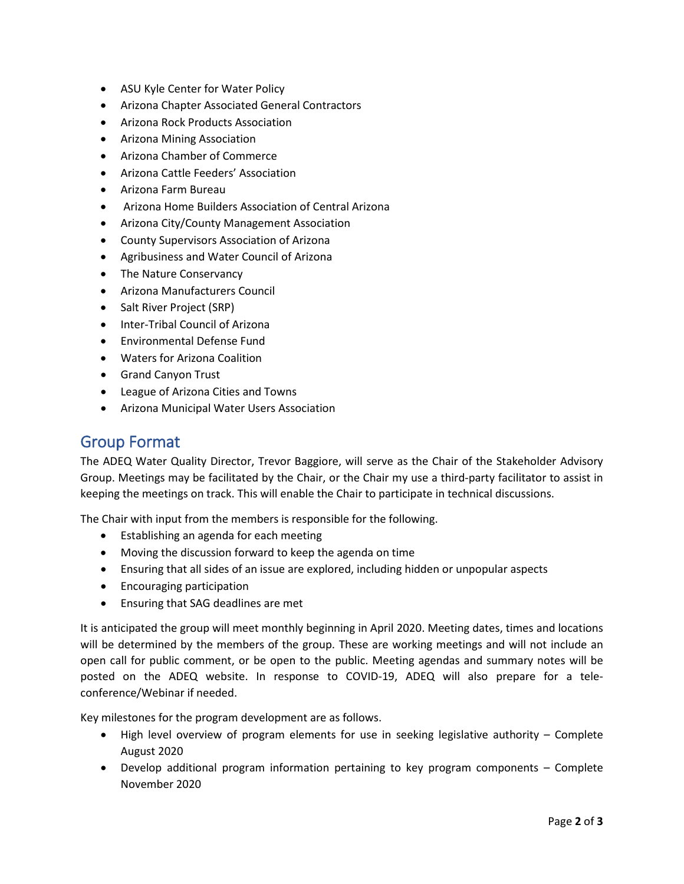- ASU Kyle Center for Water Policy
- Arizona Chapter Associated General Contractors
- Arizona Rock Products Association
- Arizona Mining Association
- Arizona Chamber of Commerce
- Arizona Cattle Feeders' Association
- Arizona Farm Bureau
- Arizona Home Builders Association of Central Arizona
- Arizona City/County Management Association
- County Supervisors Association of Arizona
- Agribusiness and Water Council of Arizona
- The Nature Conservancy
- Arizona Manufacturers Council
- Salt River Project (SRP)
- Inter-Tribal Council of Arizona
- Environmental Defense Fund
- Waters for Arizona Coalition
- Grand Canyon Trust
- League of Arizona Cities and Towns
- Arizona Municipal Water Users Association

## Group Format

The ADEQ Water Quality Director, Trevor Baggiore, will serve as the Chair of the Stakeholder Advisory Group. Meetings may be facilitated by the Chair, or the Chair my use a third-party facilitator to assist in keeping the meetings on track. This will enable the Chair to participate in technical discussions.

The Chair with input from the members is responsible for the following.

- Establishing an agenda for each meeting
- Moving the discussion forward to keep the agenda on time
- Ensuring that all sides of an issue are explored, including hidden or unpopular aspects
- Encouraging participation
- Ensuring that SAG deadlines are met

It is anticipated the group will meet monthly beginning in April 2020. Meeting dates, times and locations will be determined by the members of the group. These are working meetings and will not include an open call for public comment, or be open to the public. Meeting agendas and summary notes will be posted on the ADEQ website. In response to COVID-19, ADEQ will also prepare for a teleconference/Webinar if needed.

Key milestones for the program development are as follows.

- High level overview of program elements for use in seeking legislative authority Complete August 2020
- Develop additional program information pertaining to key program components Complete November 2020